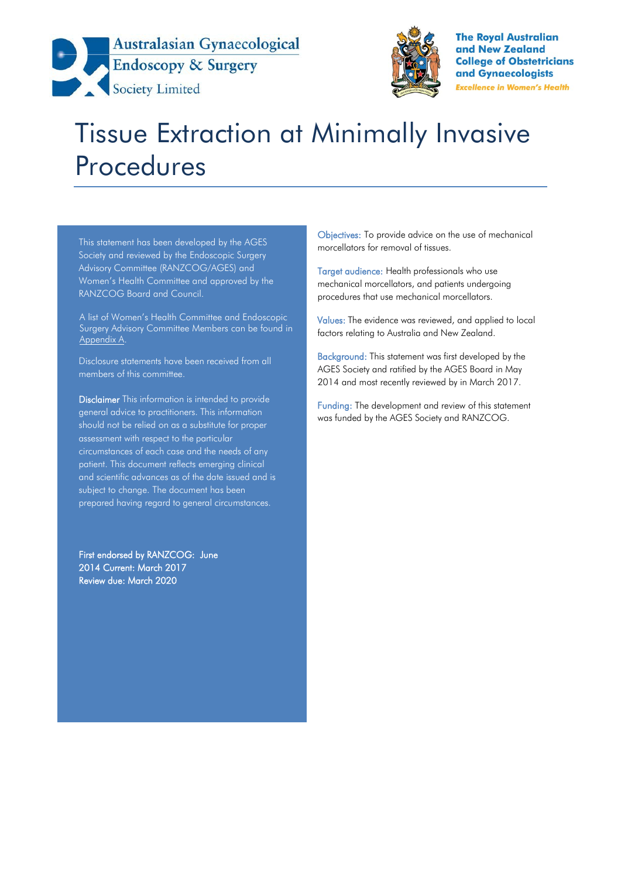



**The Royal Australian** and New Zealand **College of Obstetricians** and Gynaecologists **Excellence in Women's Health** 

# Tissue Extraction at Minimally Invasive Procedures

This statement has been developed by the AGES Society and reviewed by the Endoscopic Surgery Advisory Committee (RANZCOG/AGES) and Women's Health Committee and approved by the RANZCOG Board and Council.

A list of Women's Health Committee and Endoscopic Surgery Advisory Committee Members can be found in Appendix A.

Disclosure statements have been received from all members of this committee.

Disclaimer This information is intended to provide general advice to practitioners. This information should not be relied on as a substitute for proper assessment with respect to the particular circumstances of each case and the needs of any patient. This document reflects emerging clinical and scientific advances as of the date issued and is subject to change. The document has been prepared having regard to general circumstances.

First endorsed by RANZCOG: June 2014 Current: March 2017 Review due: March 2020

Objectives: To provide advice on the use of mechanical morcellators for removal of tissues.

Target audience: Health professionals who use mechanical morcellators, and patients undergoing procedures that use mechanical morcellators.

Values: The evidence was reviewed, and applied to local factors relating to Australia and New Zealand.

Background: This statement was first developed by the AGES Society and ratified by the AGES Board in May 2014 and most recently reviewed by in March 2017.

Funding: The development and review of this statement was funded by the AGES Society and RANZCOG.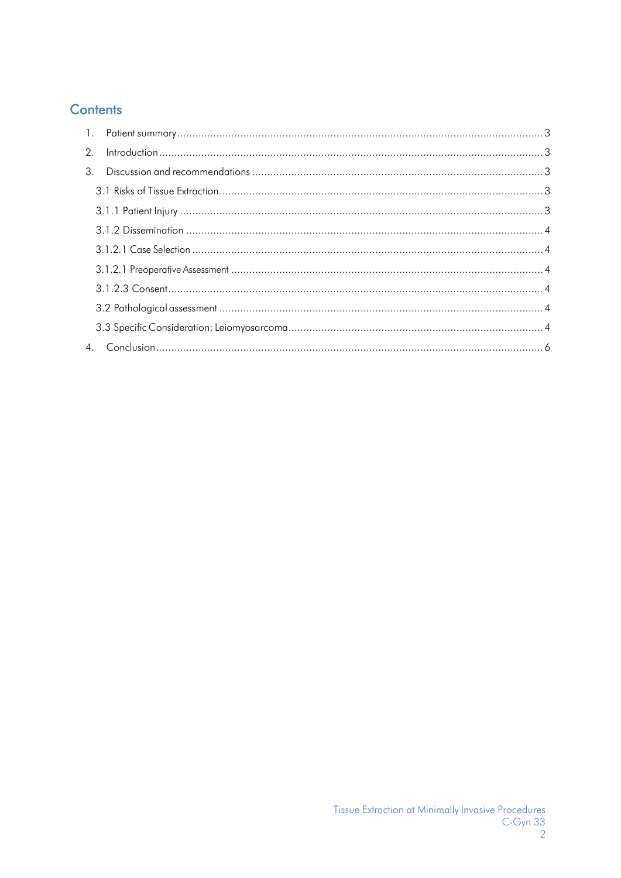# **Contents**

| $\mathcal{P}$ |  |
|---------------|--|
| 3             |  |
|               |  |
|               |  |
|               |  |
|               |  |
|               |  |
|               |  |
|               |  |
|               |  |
|               |  |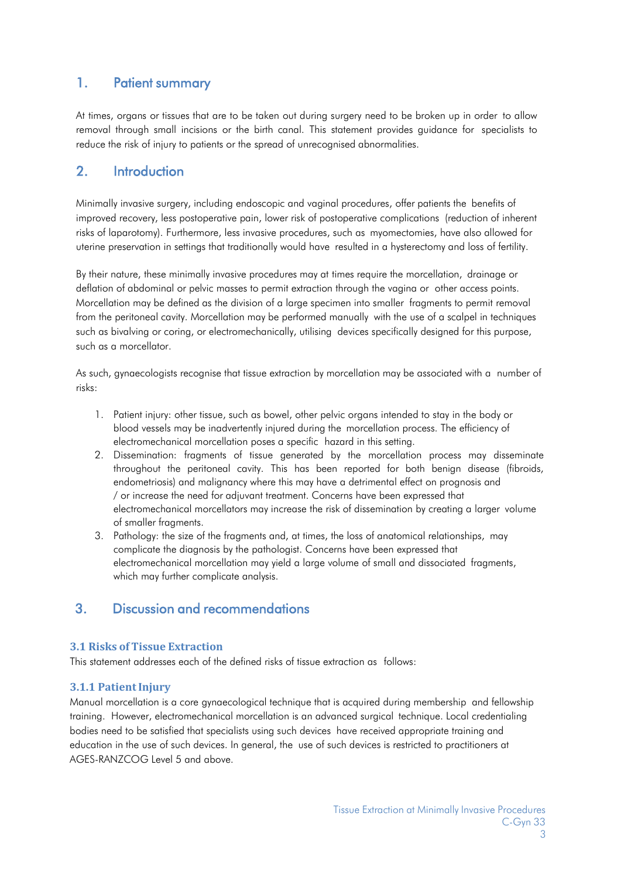## <span id="page-2-0"></span>1. Patient summary

At times, organs or tissues that are to be taken out during surgery need to be broken up in order to allow removal through small incisions or the birth canal. This statement provides guidance for specialists to reduce the risk of injury to patients or the spread of unrecognised abnormalities.

## <span id="page-2-1"></span>2. Introduction

Minimally invasive surgery, including endoscopic and vaginal procedures, offer patients the benefits of improved recovery, less postoperative pain, lower risk of postoperative complications (reduction of inherent risks of laparotomy). Furthermore, less invasive procedures, such as myomectomies, have also allowed for uterine preservation in settings that traditionally would have resulted in a hysterectomy and loss of fertility.

By their nature, these minimally invasive procedures may at times require the morcellation, drainage or deflation of abdominal or pelvic masses to permit extraction through the vagina or other access points. Morcellation may be defined as the division of a large specimen into smaller fragments to permit removal from the peritoneal cavity. Morcellation may be performed manually with the use of a scalpel in techniques such as bivalving or coring, or electromechanically, utilising devices specifically designed for this purpose, such as a morcellator.

As such, gynaecologists recognise that tissue extraction by morcellation may be associated with a number of risks:

- 1. Patient injury: other tissue, such as bowel, other pelvic organs intended to stay in the body or blood vessels may be inadvertently injured during the morcellation process. The efficiency of electromechanical morcellation poses a specific hazard in this setting.
- 2. Dissemination: fragments of tissue generated by the morcellation process may disseminate throughout the peritoneal cavity. This has been reported for both benign disease (fibroids, endometriosis) and malignancy where this may have a detrimental effect on prognosis and / or increase the need for adjuvant treatment. Concerns have been expressed that electromechanical morcellators may increase the risk of dissemination by creating a larger volume of smaller fragments.
- 3. Pathology: the size of the fragments and, at times, the loss of anatomical relationships, may complicate the diagnosis by the pathologist. Concerns have been expressed that electromechanical morcellation may yield a large volume of small and dissociated fragments, which may further complicate analysis.

## <span id="page-2-2"></span>3. Discussion and recommendations

#### <span id="page-2-3"></span>**3.1 Risks of Tissue Extraction**

This statement addresses each of the defined risks of tissue extraction as follows:

#### <span id="page-2-4"></span>**3.1.1 Patient Injury**

Manual morcellation is a core gynaecological technique that is acquired during membership and fellowship training. However, electromechanical morcellation is an advanced surgical technique. Local credentialing bodies need to be satisfied that specialists using such devices have received appropriate training and education in the use of such devices. In general, the use of such devices is restricted to practitioners at AGES-RANZCOG Level 5 and above.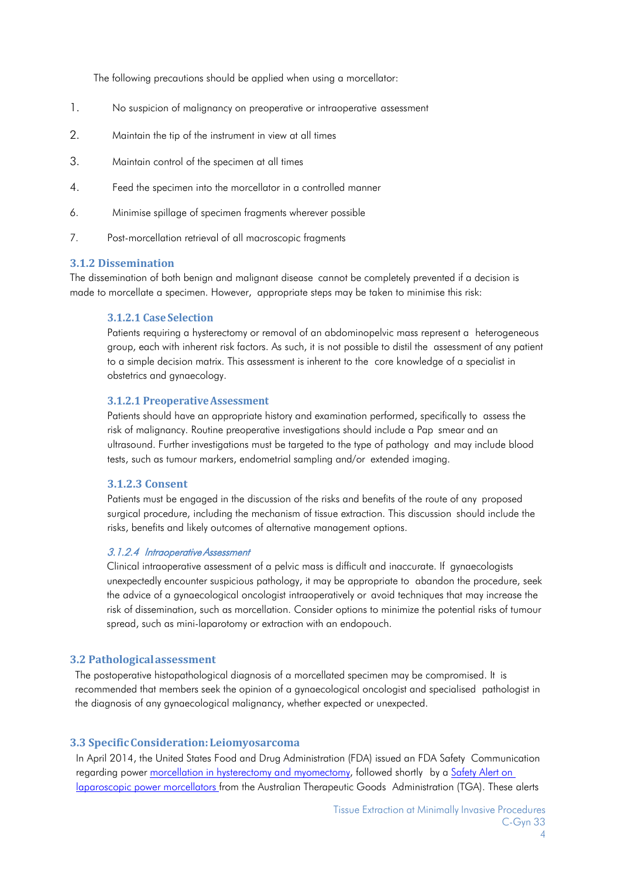The following precautions should be applied when using a morcellator:

- 1. No suspicion of malignancy on preoperative or intraoperative assessment
- 2. Maintain the tip of the instrument in view at all times
- 3. Maintain control of the specimen at all times
- 4. Feed the specimen into the morcellator in a controlled manner
- 6. Minimise spillage of specimen fragments wherever possible
- 7. Post-morcellation retrieval of all macroscopic fragments

#### <span id="page-3-0"></span>**3.1.2 Dissemination**

<span id="page-3-1"></span>The dissemination of both benign and malignant disease cannot be completely prevented if a decision is made to morcellate a specimen. However, appropriate steps may be taken to minimise this risk:

#### **3.1.2.1 Case Selection**

Patients requiring a hysterectomy or removal of an abdominopelvic mass represent a heterogeneous group, each with inherent risk factors. As such, it is not possible to distil the assessment of any patient to a simple decision matrix. This assessment is inherent to the core knowledge of a specialist in obstetrics and gynaecology.

#### <span id="page-3-2"></span>**3.1.2.1 PreoperativeAssessment**

Patients should have an appropriate history and examination performed, specifically to assess the risk of malignancy. Routine preoperative investigations should include a Pap smear and an ultrasound. Further investigations must be targeted to the type of pathology and may include blood tests, such as tumour markers, endometrial sampling and/or extended imaging.

#### <span id="page-3-3"></span>**3.1.2.3 Consent**

Patients must be engaged in the discussion of the risks and benefits of the route of any proposed surgical procedure, including the mechanism of tissue extraction. This discussion should include the risks, benefits and likely outcomes of alternative management options.

#### 3.1.2.4 Intraoperative Assessment

Clinical intraoperative assessment of a pelvic mass is difficult and inaccurate. If gynaecologists unexpectedly encounter suspicious pathology, it may be appropriate to abandon the procedure, seek the advice of a gynaecological oncologist intraoperatively or avoid techniques that may increase the risk of dissemination, such as morcellation. Consider options to minimize the potential risks of tumour spread, such as mini-laparotomy or extraction with an endopouch.

#### <span id="page-3-4"></span>**3.2 Pathologicalassessment**

The postoperative histopathological diagnosis of a morcellated specimen may be compromised. It is recommended that members seek the opinion of a gynaecological oncologist and specialised pathologist in the diagnosis of any gynaecological malignancy, whether expected or unexpected.

#### <span id="page-3-5"></span>**3.3 SpecificConsideration:Leiomyosarcoma**

In April 2014, the United States Food and Drug Administration (FDA) issued an FDA Safety Communication regarding power morcellation in hysterectomy [and myomectomy,](http://www.fda.gov/medicaldevices/safety/alertsandnotices/ucm393576.htm) followed shortly by a [Safety](http://www.tga.gov.au/safety/alerts-device-laprascopic-power-morcellators-140429.htm) Alert on laparoscopic power morcellators from the Australian Therapeutic Goods Administration (TGA). These alerts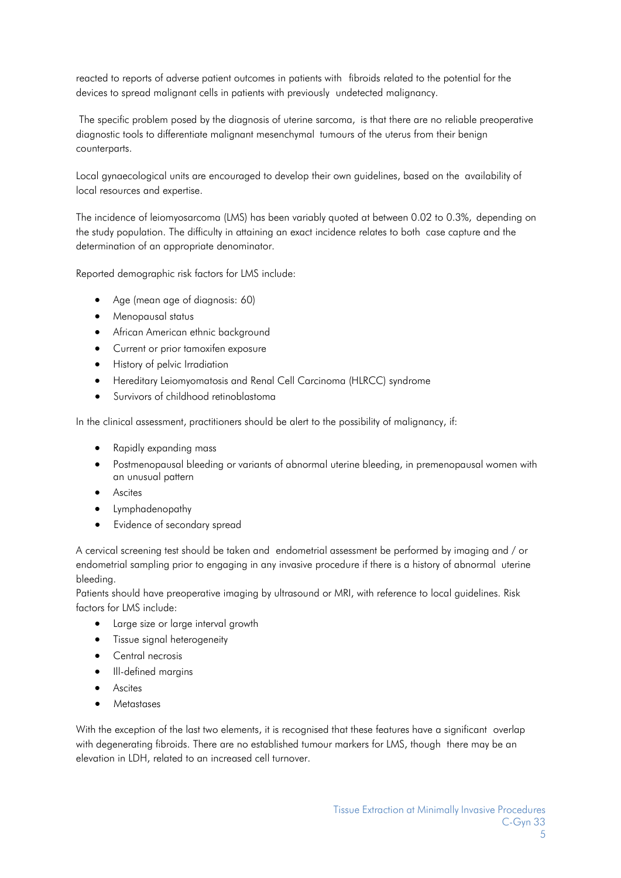reacted to reports of adverse patient outcomes in patients with fibroids related to the potential for the devices to spread malignant cells in patients with previously undetected malignancy.

The specific problem posed by the diagnosis of uterine sarcoma, is that there are no reliable preoperative diagnostic tools to differentiate malignant mesenchymal tumours of the uterus from their benign counterparts.

Local gynaecological units are encouraged to develop their own guidelines, based on the availability of local resources and expertise.

The incidence of leiomyosarcoma (LMS) has been variably quoted at between 0.02 to 0.3%, depending on the study population. The difficulty in attaining an exact incidence relates to both case capture and the determination of an appropriate denominator.

Reported demographic risk factors for LMS include:

- Age (mean age of diagnosis: 60)
- Menopausal status
- African American ethnic background
- Current or prior tamoxifen exposure
- History of pelvic Irradiation
- Hereditary Leiomyomatosis and Renal Cell Carcinoma (HLRCC) syndrome
- Survivors of childhood retinoblastoma

In the clinical assessment, practitioners should be alert to the possibility of malignancy, if:

- Rapidly expanding mass
- Postmenopausal bleeding or variants of abnormal uterine bleeding, in premenopausal women with an unusual pattern
- Ascites
- Lymphadenopathy
- Evidence of secondary spread

A cervical screening test should be taken and endometrial assessment be performed by imaging and / or endometrial sampling prior to engaging in any invasive procedure if there is a history of abnormal uterine bleeding.

Patients should have preoperative imaging by ultrasound or MRI, with reference to local guidelines. Risk factors for LMS include:

- Large size or large interval growth
- Tissue signal heterogeneity
- Central necrosis
- Ill-defined margins
- Ascites
- Metastases

With the exception of the last two elements, it is recognised that these features have a significant overlap with degenerating fibroids. There are no established tumour markers for LMS, though there may be an elevation in LDH, related to an increased cell turnover.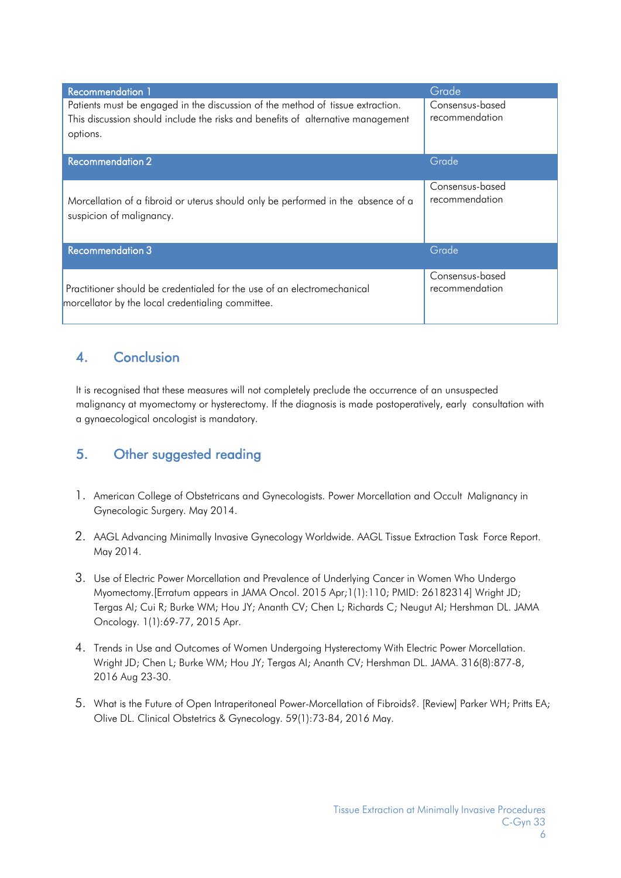| <b>Recommendation 1</b>                                                                                                                                                       | Grade                             |
|-------------------------------------------------------------------------------------------------------------------------------------------------------------------------------|-----------------------------------|
| Patients must be engaged in the discussion of the method of tissue extraction.<br>This discussion should include the risks and benefits of alternative management<br>options. | Consensus-based<br>recommendation |
| <b>Recommendation 2</b>                                                                                                                                                       | Grade                             |
| Morcellation of a fibroid or uterus should only be performed in the absence of a<br>suspicion of malignancy.                                                                  | Consensus-based<br>recommendation |
| <b>Recommendation 3</b>                                                                                                                                                       | Grade                             |
| Practitioner should be credentialed for the use of an electromechanical<br>morcellator by the local credentialing committee.                                                  | Consensus-based<br>recommendation |

# <span id="page-5-0"></span>4. Conclusion

It is recognised that these measures will not completely preclude the occurrence of an unsuspected malignancy at myomectomy or hysterectomy. If the diagnosis is made postoperatively, early consultation with a gynaecological oncologist is mandatory.

# 5. Other suggested reading

- 1. American College of Obstetricans and Gynecologists. Power Morcellation and Occult Malignancy in Gynecologic Surgery. May 2014.
- 2. AAGL Advancing Minimally Invasive Gynecology Worldwide. AAGL Tissue Extraction Task Force Report. May 2014.
- 3. Use of Electric Power Morcellation and Prevalence of Underlying Cancer in Women Who Undergo Myomectomy.[Erratum appears in JAMA Oncol. 2015 Apr;1(1):110; PMID: 26182314] Wright JD; Tergas AI; Cui R; Burke WM; Hou JY; Ananth CV; Chen L; Richards C; Neugut AI; Hershman DL. JAMA Oncology. 1(1):69-77, 2015 Apr.
- 4. Trends in Use and Outcomes of Women Undergoing Hysterectomy With Electric Power Morcellation. Wright JD; Chen L; Burke WM; Hou JY; Tergas AI; Ananth CV; Hershman DL. JAMA. 316(8):877-8, 2016 Aug 23-30.
- 5. What is the Future of Open Intraperitoneal Power-Morcellation of Fibroids?. [Review] Parker WH; Pritts EA; Olive DL. Clinical Obstetrics & Gynecology. 59(1):73-84, 2016 May.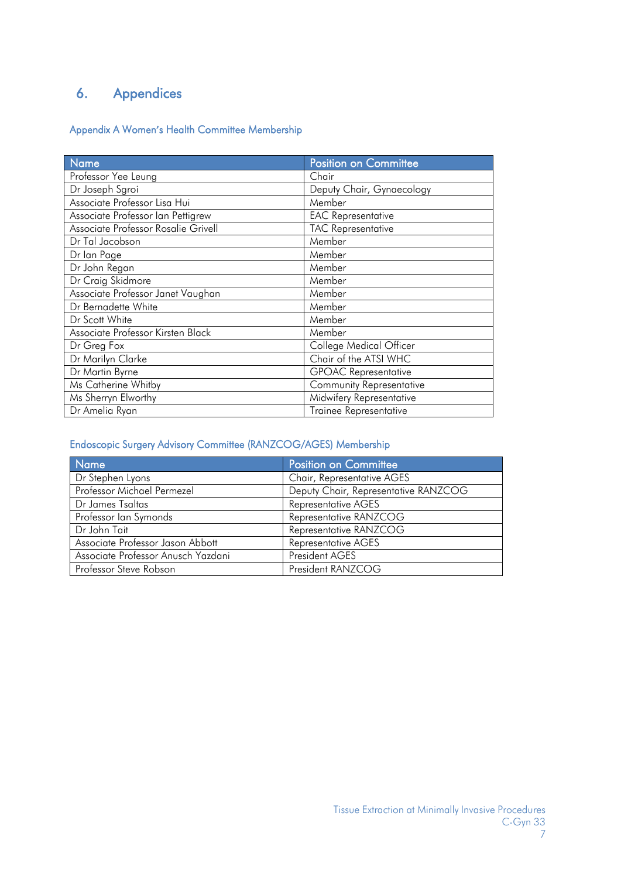# 6. Appendices

### Appendix A Women**'**s Health Committee Membership

| <b>Name</b>                         | <b>Position on Committee</b>  |
|-------------------------------------|-------------------------------|
| Professor Yee Leung                 | Chair                         |
| Dr Joseph Sgroi                     | Deputy Chair, Gynaecology     |
| Associate Professor Lisa Hui        | Member                        |
| Associate Professor Ian Pettigrew   | <b>EAC Representative</b>     |
| Associate Professor Rosalie Grivell | <b>TAC Representative</b>     |
| Dr Tal Jacobson                     | Member                        |
| Dr lan Page                         | Member                        |
| Dr John Regan                       | Member                        |
| Dr Craig Skidmore                   | Member                        |
| Associate Professor Janet Vaughan   | Member                        |
| Dr Bernadette White                 | Member                        |
| Dr Scott White                      | Member                        |
| Associate Professor Kirsten Black   | Member                        |
| Dr Greg Fox                         | College Medical Officer       |
| Dr Marilyn Clarke                   | Chair of the ATSI WHC         |
| Dr Martin Byrne                     | <b>GPOAC Representative</b>   |
| Ms Catherine Whitby                 | Community Representative      |
| Ms Sherryn Elworthy                 | Midwifery Representative      |
| Dr Amelia Ryan                      | <b>Trainee Representative</b> |

## Endoscopic Surgery Advisory Committee (RANZCOG/AGES) Membership

| <b>Name</b>                        | <b>Position on Committee</b>         |
|------------------------------------|--------------------------------------|
| Dr Stephen Lyons                   | Chair, Representative AGES           |
| Professor Michael Permezel         | Deputy Chair, Representative RANZCOG |
| Dr James Tsaltas                   | <b>Representative AGES</b>           |
| Professor Ian Symonds              | Representative RANZCOG               |
| Dr John Tait                       | Representative RANZCOG               |
| Associate Professor Jason Abbott   | <b>Representative AGES</b>           |
| Associate Professor Anusch Yazdani | President AGES                       |
| Professor Steve Robson             | President RANZCOG                    |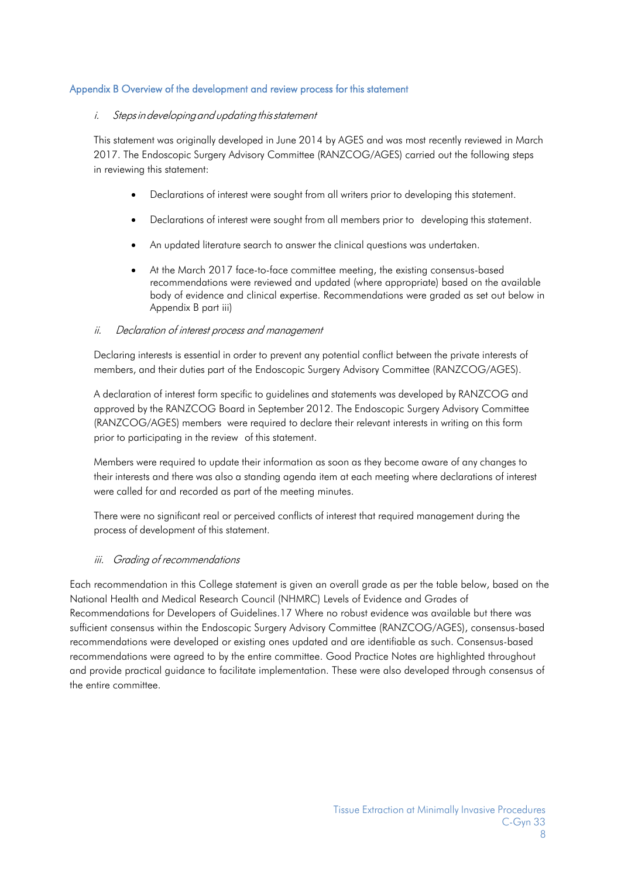#### Appendix B Overview of the development and review process for this statement

#### i. Steps in developing and updating this statement

This statement was originally developed in June 2014 by AGES and was most recently reviewed in March 2017. The Endoscopic Surgery Advisory Committee (RANZCOG/AGES) carried out the following steps in reviewing this statement:

- Declarations of interest were sought from all writers prior to developing this statement.
- Declarations of interest were sought from all members prior to developing this statement.
- An updated literature search to answer the clinical questions was undertaken.
- At the March 2017 face-to-face committee meeting, the existing consensus-based recommendations were reviewed and updated (where appropriate) based on the available body of evidence and clinical expertise. Recommendations were graded as set out below in Appendix B part iii)

#### ii. Declaration of interest process and management

Declaring interests is essential in order to prevent any potential conflict between the private interests of members, and their duties part of the Endoscopic Surgery Advisory Committee (RANZCOG/AGES).

A declaration of interest form specific to guidelines and statements was developed by RANZCOG and approved by the RANZCOG Board in September 2012. The Endoscopic Surgery Advisory Committee (RANZCOG/AGES) members were required to declare their relevant interests in writing on this form prior to participating in the review of this statement.

Members were required to update their information as soon as they become aware of any changes to their interests and there was also a standing agenda item at each meeting where declarations of interest were called for and recorded as part of the meeting minutes.

There were no significant real or perceived conflicts of interest that required management during the process of development of this statement.

#### iii. Grading of recommendations

Each recommendation in this College statement is given an overall grade as per the table below, based on the National Health and Medical Research Council (NHMRC) Levels of Evidence and Grades of Recommendations for Developers of Guidelines.17 Where no robust evidence was available but there was sufficient consensus within the Endoscopic Surgery Advisory Committee (RANZCOG/AGES), consensus-based recommendations were developed or existing ones updated and are identifiable as such. Consensus-based recommendations were agreed to by the entire committee. Good Practice Notes are highlighted throughout and provide practical guidance to facilitate implementation. These were also developed through consensus of the entire committee.